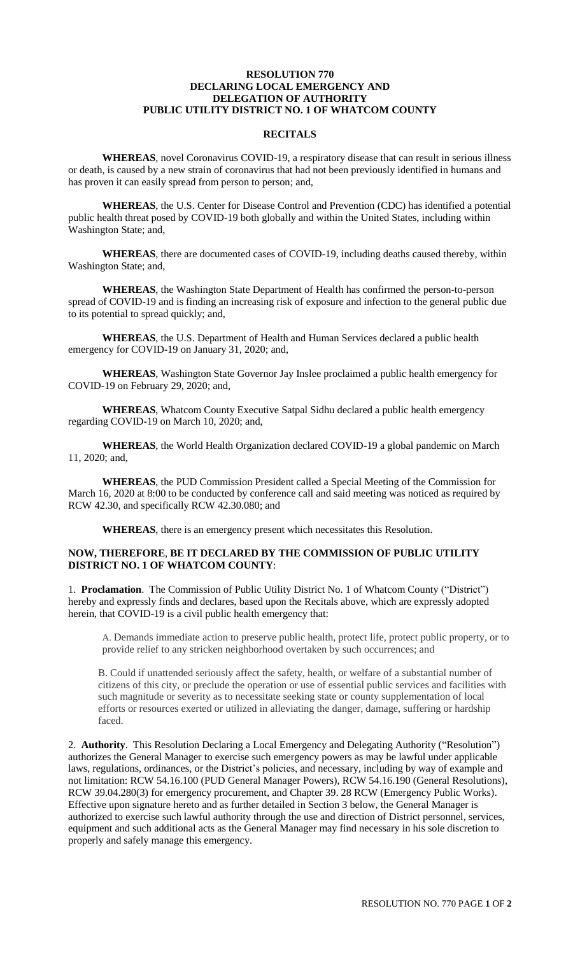## **RESOLUTION 770 DECLARING LOCAL EMERGENCY AND DELEGATION OF AUTHORITY PUBLIC UTILITY DISTRICT NO. 1 OF WHATCOM COUNTY**

## **RECITALS**

**WHEREAS**, novel Coronavirus COVID-19, a respiratory disease that can result in serious illness or death, is caused by a new strain of coronavirus that had not been previously identified in humans and has proven it can easily spread from person to person; and,

**WHEREAS**, the U.S. Center for Disease Control and Prevention (CDC) has identified a potential public health threat posed by COVID-19 both globally and within the United States, including within Washington State; and,

**WHEREAS**, there are documented cases of COVID-19, including deaths caused thereby, within Washington State; and,

**WHEREAS**, the Washington State Department of Health has confirmed the person-to-person spread of COVID-19 and is finding an increasing risk of exposure and infection to the general public due to its potential to spread quickly; and,

**WHEREAS**, the U.S. Department of Health and Human Services declared a public health emergency for COVID-19 on January 31, 2020; and,

**WHEREAS**, Washington State Governor Jay Inslee proclaimed a public health emergency for COVID-19 on February 29, 2020; and,

**WHEREAS**, Whatcom County Executive Satpal Sidhu declared a public health emergency regarding COVID-19 on March 10, 2020; and,

**WHEREAS**, the World Health Organization declared COVID-19 a global pandemic on March 11, 2020; and,

**WHEREAS**, the PUD Commission President called a Special Meeting of the Commission for March 16, 2020 at 8:00 to be conducted by conference call and said meeting was noticed as required by RCW 42.30, and specifically RCW 42.30.080; and

**WHEREAS**, there is an emergency present which necessitates this Resolution.

## **NOW, THEREFORE**, **BE IT DECLARED BY THE COMMISSION OF PUBLIC UTILITY DISTRICT NO. 1 OF WHATCOM COUNTY**:

1. **Proclamation**. The Commission of Public Utility District No. 1 of Whatcom County ("District") hereby and expressly finds and declares, based upon the Recitals above, which are expressly adopted herein, that COVID-19 is a civil public health emergency that:

A. Demands immediate action to preserve public health, protect life, protect public property, or to provide relief to any stricken neighborhood overtaken by such occurrences; and

B. Could if unattended seriously affect the safety, health, or welfare of a substantial number of citizens of this city, or preclude the operation or use of essential public services and facilities with such magnitude or severity as to necessitate seeking state or county supplementation of local efforts or resources exerted or utilized in alleviating the danger, damage, suffering or hardship faced.

2. **Authority**. This Resolution Declaring a Local Emergency and Delegating Authority ("Resolution") authorizes the General Manager to exercise such emergency powers as may be lawful under applicable laws, regulations, ordinances, or the District's policies, and necessary, including by way of example and not limitation: RCW 54.16.100 (PUD General Manager Powers), RCW 54.16.190 (General Resolutions), RCW 39.04.280(3) for emergency procurement, and Chapter 39. 28 RCW (Emergency Public Works). Effective upon signature hereto and as further detailed in Section 3 below, the General Manager is authorized to exercise such lawful authority through the use and direction of District personnel, services, equipment and such additional acts as the General Manager may find necessary in his sole discretion to properly and safely manage this emergency.